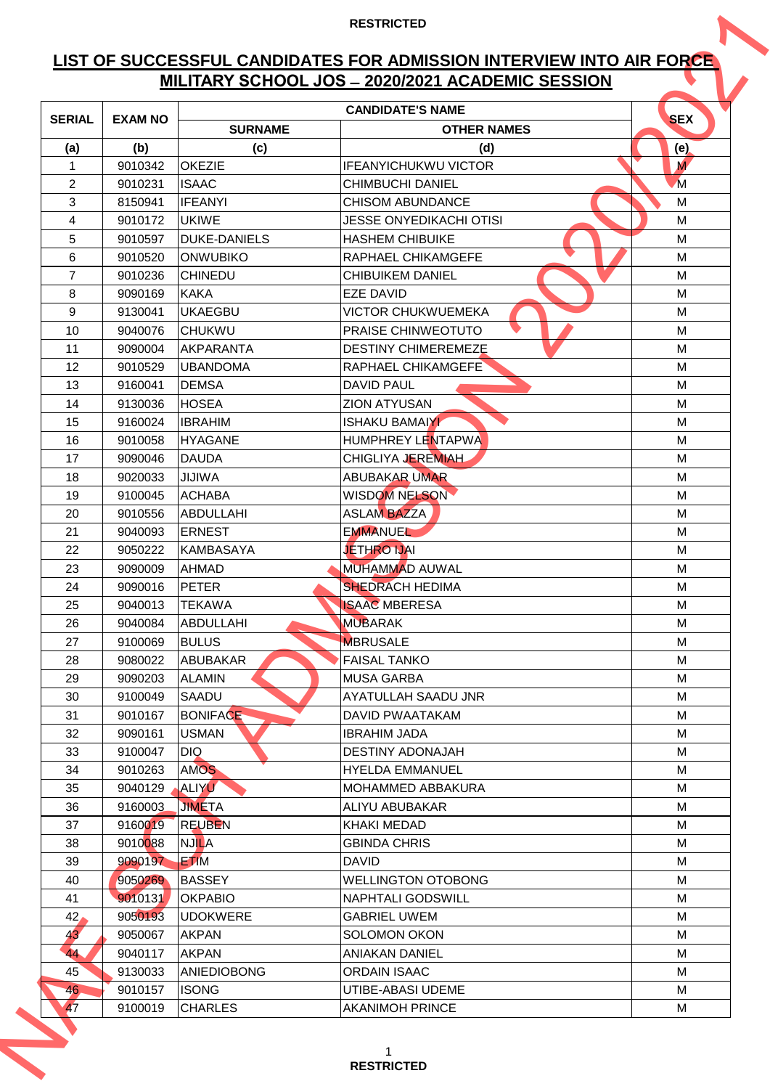# **LIST OF SUCCESSFUL CANDIDATES FOR ADMISSION INTERVIEW INTO AIR FORCE MILITARY SCHOOL JOS ̶2020/2021 ACADEMIC SESSION**

|                 |                    |                               | MILITARY SCHOOL JOS - 2020/2021 ACADEMIC SESSION  |                |
|-----------------|--------------------|-------------------------------|---------------------------------------------------|----------------|
| <b>SERIAL</b>   | <b>EXAM NO</b>     |                               | <b>CANDIDATE'S NAME</b>                           | <b>SEX</b>     |
|                 |                    | <b>SURNAME</b>                | <b>OTHER NAMES</b>                                |                |
| (a)             | (b)                | (c)                           | (d)                                               | (e)            |
| 1               | 9010342            | <b>OKEZIE</b>                 | <b>IFEANYICHUKWU VICTOR</b>                       | M              |
| $\overline{2}$  | 9010231            | <b>ISAAC</b>                  | <b>CHIMBUCHI DANIEL</b>                           | $\overline{M}$ |
| 3               | 8150941            | <b>IFEANYI</b>                | <b>CHISOM ABUNDANCE</b>                           | M              |
| 4               | 9010172            | UKIWE                         | JESSE ONYEDIKACHI OTISI                           | М              |
| 5               | 9010597            | <b>DUKE-DANIELS</b>           | <b>HASHEM CHIBUIKE</b>                            | M              |
| 6               | 9010520            | <b>ONWUBIKO</b>               | RAPHAEL CHIKAMGEFE                                | M              |
| $\overline{7}$  | 9010236            | <b>CHINEDU</b>                | <b>CHIBUIKEM DANIEL</b>                           | M              |
| 8               | 9090169            | <b>KAKA</b>                   | <b>FZE DAVID</b>                                  | M              |
| 9               | 9130041            | <b>UKAEGBU</b>                | <b>VICTOR CHUKWUEMEKA</b>                         | M              |
| 10              | 9040076            | <b>CHUKWU</b>                 | <b>PRAISE CHINWEOTUTO</b>                         | M              |
| 11              | 9090004            | AKPARANTA                     | <b>DESTINY CHIMEREMEZE</b>                        | M              |
| 12              | 9010529            | <b>UBANDOMA</b>               | RAPHAEL CHIKAMGEFE                                | M              |
| 13              | 9160041            | <b>DEMSA</b>                  | <b>DAVID PAUL</b>                                 | М              |
| 14              | 9130036            | <b>HOSEA</b>                  | <b>ZION ATYUSAN</b>                               | M              |
| 15              | 9160024            | <b>IBRAHIM</b>                | <b>ISHAKU BAMAIYI</b><br><b>HUMPHREY LENTAPWA</b> | М              |
| 16<br>17        | 9010058            | <b>HYAGANE</b>                | CHIGLIYA JEREMIAH                                 | M<br>M         |
|                 | 9090046            | <b>DAUDA</b><br><b>JIJIWA</b> |                                                   |                |
| 18              | 9020033            | <b>ACHABA</b>                 | <b>ABUBAKAR UMAR</b><br>WISDOM NELSON             | М              |
| 19<br>20        | 9100045<br>9010556 | ABDULLAHI                     | <b>ASLAM BAZZA</b>                                | M<br>M         |
| 21              | 9040093            | <b>ERNEST</b>                 | <b>EMMANUEL</b>                                   | M              |
| 22              | 9050222            | KAMBASAYA                     | <b>JETHRO IJAI</b>                                | M              |
| 23              | 9090009            | <b>AHMAD</b>                  | <b>MUHAMMAD AUWAL</b>                             | M              |
| 24              | 9090016            | PETER                         | <b>SHEDRACH HEDIMA</b>                            | М              |
| 25              | 9040013            | <b>TEKAWA</b>                 | <b>ISAAC MBERESA</b>                              | M              |
| 26              | 9040084            | ABDULLAHI                     | <b>MUBARAK</b>                                    | м              |
| 27              | 9100069            | <b>BULUS</b>                  | <b>MBRUSALE</b>                                   | M              |
| 28              | 9080022            | ABUBAKAR                      | <b>FAISAL TANKO</b>                               | M              |
| 29              | 9090203            | <b>ALAMIN</b>                 | <b>MUSA GARBA</b>                                 | M              |
| 30              | 9100049            | SAADU                         | AYATULLAH SAADU JNR                               | M              |
| 31              | 9010167            | <b>BONIFACE</b>               | DAVID PWAATAKAM                                   | M              |
| 32              | 9090161            | <b>USMAN</b>                  | <b>IBRAHIM JADA</b>                               | M              |
| 33              | 9100047            | DIQ.                          | <b>DESTINY ADONAJAH</b>                           | M              |
| 34              | 9010263            | <b>AMOS</b>                   | <b>HYELDA EMMANUEL</b>                            | M              |
| 35              | 9040129            | ALIYU                         | <b>MOHAMMED ABBAKURA</b>                          | M              |
| 36              | 9160003            | <b>JIMETA</b>                 | ALIYU ABUBAKAR                                    | M              |
| 37              | 9160019            | <b>REUBEN</b>                 | <b>KHAKI MEDAD</b>                                | м              |
| 38              | 9010088            | <b>NJILA</b>                  | <b>GBINDA CHRIS</b>                               | M              |
| 39              | 9090197            | <b>ETIM</b>                   | <b>DAVID</b>                                      | M              |
| 40              | 9050269            | <b>BASSEY</b>                 | <b>WELLINGTON OTOBONG</b>                         | M              |
| 41              | 9010131            | <b>OKPABIO</b>                | <b>NAPHTALI GODSWILL</b>                          | M              |
| 42 <sub>l</sub> | 9050193            | <b>UDOKWERE</b>               | <b>GABRIEL UWEM</b>                               | M              |
| 43'             | 9050067            | <b>AKPAN</b>                  | <b>SOLOMON OKON</b>                               | M              |
| 44              | 9040117            | <b>AKPAN</b>                  | <b>ANIAKAN DANIEL</b>                             | M              |
| 45              | 9130033            | <b>ANIEDIOBONG</b>            | <b>ORDAIN ISAAC</b>                               | M              |
| 46              | 9010157            | <b>ISONG</b>                  | UTIBE-ABASI UDEME                                 | M              |
| 47              | 9100019            | <b>CHARLES</b>                | <b>AKANIMOH PRINCE</b>                            | M              |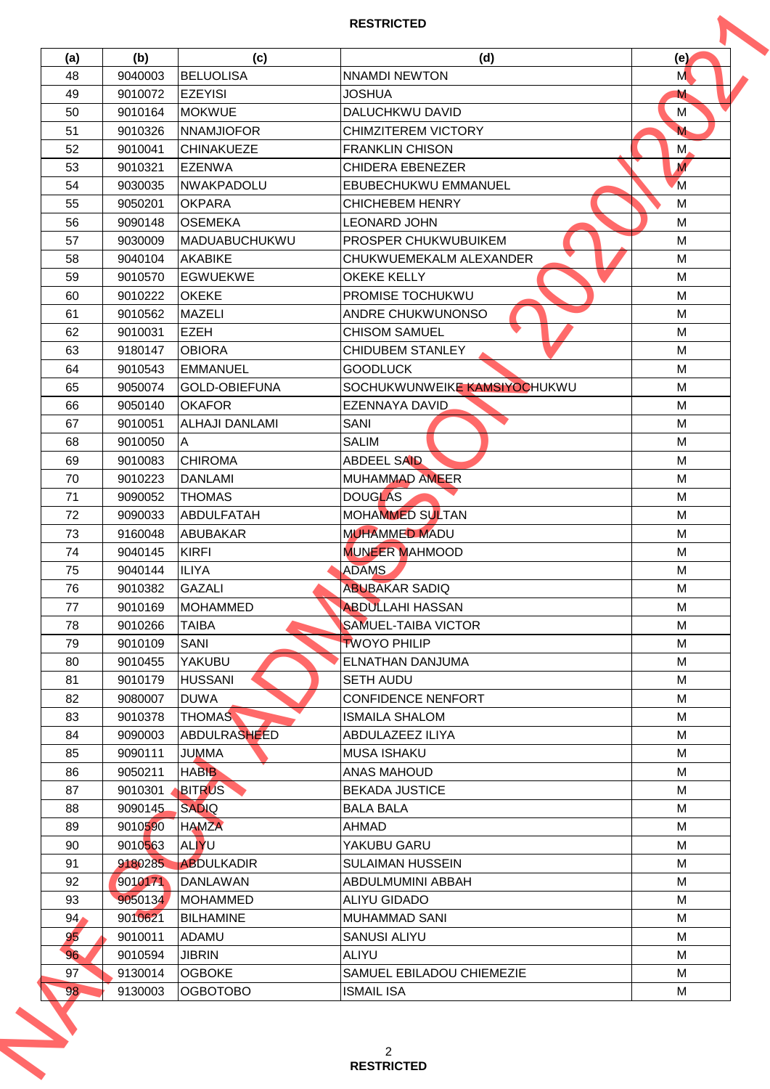| (a)             | (b)                | (c)                              | (d)                                            | (e)            |
|-----------------|--------------------|----------------------------------|------------------------------------------------|----------------|
| 48              | 9040003            | BELUOLISA                        | <b>NNAMDI NEWTON</b>                           | M              |
| 49              | 9010072            | <b>EZEYISI</b>                   | JOSHUA                                         | M              |
| 50              | 9010164            | <b>MOKWUE</b>                    | DALUCHKWU DAVID                                | M              |
| 51              | 9010326            | <b>NNAMJIOFOR</b>                | <b>CHIMZITEREM VICTORY</b>                     | M              |
| 52              | 9010041            | <b>CHINAKUEZE</b>                | <b>FRANKLIN CHISON</b>                         | M,             |
| 53              | 9010321            | <b>EZENWA</b>                    | <b>CHIDERA EBENEZER</b>                        | $\overline{M}$ |
| 54              | 9030035            | INWAKPADOLU                      | <b>EBUBECHUKWU EMMANUEL</b>                    | M              |
| 55              | 9050201            | <b>OKPARA</b>                    | <b>CHICHEBEM HENRY</b>                         | M              |
| 56              | 9090148            | <b>OSEMEKA</b>                   | LEONARD JOHN                                   | M              |
| 57              | 9030009            | <b>MADUABUCHUKWU</b>             | <b>PROSPER CHUKWUBUIKEM</b>                    | M              |
| 58              | 9040104            | <b>AKABIKE</b>                   | CHUKWUEMEKALM ALEXANDER                        | М              |
| 59              | 9010570            | <b>EGWUEKWE</b>                  | <b>OKEKE KELLY</b>                             | M              |
| 60              | 9010222            | <b>OKEKE</b>                     | PROMISE TOCHUKWU                               | M              |
| 61              | 9010562            | <b>MAZELI</b>                    | <b>ANDRE CHUKWUNONSO</b>                       | M              |
| 62              | 9010031            | <b>EZEH</b>                      | <b>CHISOM SAMUEL</b>                           | M              |
| 63              | 9180147            | <b>OBIORA</b>                    | <b>CHIDUBEM STANLEY</b>                        | M              |
| 64              | 9010543            | EMMANUEL                         | <b>GOODLUCK</b>                                | M              |
| 65              | 9050074            | <b>GOLD-OBIEFUNA</b>             | SOCHUKWUNWEIKE KAMSIYOCHUKWU                   | M              |
| 66              | 9050140            | <b>OKAFOR</b>                    | <b>EZENNAYA DAVID</b>                          | M              |
| 67              | 9010051            | <b>ALHAJI DANLAMI</b>            | SANI                                           | M              |
| 68              |                    | $\overline{A}$                   | <b>SALIM</b>                                   | M              |
|                 | 9010050            |                                  |                                                |                |
| 69              | 9010083            | <b>CHIROMA</b>                   | <b>ABDEEL SAID</b>                             | М              |
| 70              | 9010223            | <b>DANLAMI</b>                   | <b>MUHAMMAD AMEER</b>                          | M              |
| 71              | 9090052            | <b>THOMAS</b>                    | <b>DOUGLAS</b>                                 | M              |
| 72              | 9090033            | <b>ABDULFATAH</b>                | <b>MOHAMMED SULTAN</b>                         | М              |
| 73              | 9160048            | <b>ABUBAKAR</b>                  | <b>MUHAMMED MADU</b>                           | M              |
| 74              | 9040145            | <b>KIRFI</b>                     | <b>MUNEER MAHMOOD</b>                          | M              |
| 75              | 9040144            | <b>ILIYA</b>                     | <b>ADAMS</b>                                   | M              |
| 76              | 9010382            | <b>GAZALI</b>                    | <b>ABUBAKAR SADIQ</b>                          | M              |
| 77              | 9010169            | <b>MOHAMMED</b>                  | <b>ABDULLAHI HASSAN</b>                        | M              |
| 78              | 9010266            | TAIBA                            | <b>SAMUEL-TAIBA VICTOR</b>                     | M              |
| 79              | 9010109            | SANI                             | <b>TWOYO PHILIP</b>                            | М              |
| 80              | 9010455            | YAKUBU                           | ELNATHAN DANJUMA                               | M              |
| 81              | 9010179            | <b>HUSSANI</b>                   | <b>SETH AUDU</b>                               | M              |
| 82              | 9080007            | <b>DUWA</b>                      | <b>CONFIDENCE NENFORT</b>                      | M              |
| 83              | 9010378            | <b>THOMAS</b>                    | ISMAILA SHALOM                                 | M              |
| 84              | 9090003            | <b>ABDULRASHEED</b>              | ABDULAZEEZ ILIYA                               | M              |
| 85              | 9090111            | <b>JUMMA</b>                     | <b>MUSA ISHAKU</b>                             | M              |
| 86              | 9050211            | <b>HABIB</b>                     | ANAS MAHOUD                                    | M              |
| 87              | 9010301            | <b>BITRUS</b>                    | <b>BEKADA JUSTICE</b>                          | M              |
| 88              | 9090145            | <b>SADIQ</b>                     | <b>BALA BALA</b>                               | M              |
| 89              | 9010590            | <b>HAMZA</b>                     | AHMAD                                          | M              |
| 90              | 9010563            | <b>ALIYU</b>                     | YAKUBU GARU                                    | М              |
| 91              | 9180285            | <b>ABDULKADIR</b>                | <b>SULAIMAN HUSSEIN</b>                        | M              |
| 92              | 9010171            | <b>DANLAWAN</b>                  | ABDULMUMINI ABBAH                              | M              |
| 93              | 9050134            | <b>MOHAMMED</b>                  | <b>ALIYU GIDADO</b>                            | M              |
| 94 <sub>1</sub> | 9010621            | <b>BILHAMINE</b>                 | <b>MUHAMMAD SANI</b>                           | M              |
| 95              | 9010011            | <b>ADAMU</b>                     | <b>SANUSI ALIYU</b>                            | M              |
| 96              |                    |                                  |                                                |                |
|                 | 9010594            | <b>JIBRIN</b>                    | <b>ALIYU</b>                                   | M              |
| 97              | 9130014<br>9130003 | <b>OGBOKE</b><br><b>OGBOTOBO</b> | SAMUEL EBILADOU CHIEMEZIE<br><b>ISMAIL ISA</b> | M<br>М         |
| 98              |                    |                                  |                                                |                |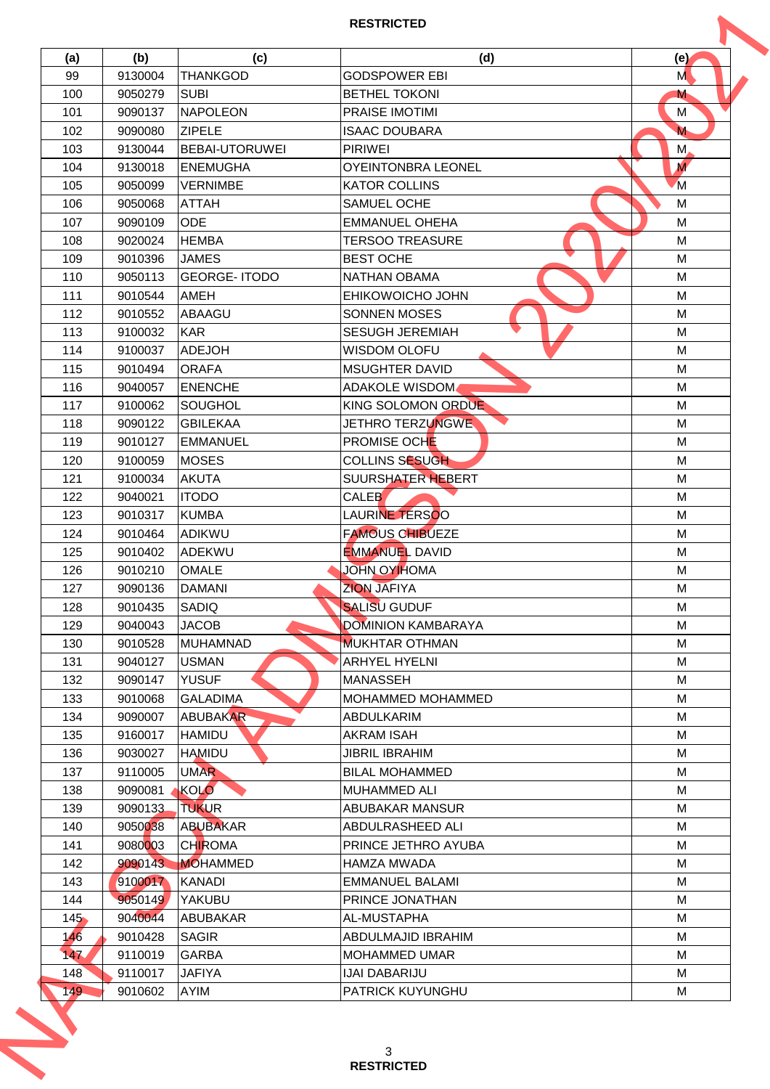| (a) | (b)     | (c)                 | (d)                       | (e)            |
|-----|---------|---------------------|---------------------------|----------------|
| 99  | 9130004 | <b>THANKGOD</b>     | <b>GODSPOWER EBI</b>      | M              |
| 100 | 9050279 | <b>SUBI</b>         | <b>BETHEL TOKONI</b>      | M              |
| 101 | 9090137 | NAPOLEON            | <b>PRAISE IMOTIMI</b>     | M              |
| 102 | 9090080 | <b>ZIPELE</b>       | <b>ISAAC DOUBARA</b>      | M              |
| 103 | 9130044 | BEBAI-UTORUWEI      | <b>PIRIWEI</b>            | M,             |
| 104 | 9130018 | <b>ENEMUGHA</b>     | <b>OYEINTONBRA LEONEL</b> | $\overline{M}$ |
| 105 | 9050099 | <b>VERNIMBE</b>     | <b>KATOR COLLINS</b>      | M              |
| 106 | 9050068 | <b>ATTAH</b>        | SAMUEL OCHE               | M              |
| 107 | 9090109 | <b>ODE</b>          | <b>EMMANUEL OHEHA</b>     | M              |
| 108 | 9020024 | <b>HEMBA</b>        | <b>TERSOO TREASURE</b>    | M              |
| 109 | 9010396 | <b>JAMES</b>        | <b>BEST OCHE</b>          | M              |
| 110 | 9050113 | <b>GEORGE-ITODO</b> | <b>NATHAN OBAMA</b>       | M              |
| 111 | 9010544 | AMEH                | <b>EHIKOWOICHO JOHN</b>   | M              |
| 112 | 9010552 | ABAAGU              | <b>SONNEN MOSES</b>       | M              |
|     | 9100032 | <b>KAR</b>          |                           |                |
| 113 |         |                     | <b>SESUGH JEREMIAH</b>    | M              |
| 114 | 9100037 | <b>ADEJOH</b>       | <b>WISDOM OLOFU</b>       | M              |
| 115 | 9010494 | <b>ORAFA</b>        | <b>MSUGHTER DAVID</b>     | M              |
| 116 | 9040057 | <b>ENENCHE</b>      | <b>ADAKOLE WISDOM</b>     | M              |
| 117 | 9100062 | <b>SOUGHOL</b>      | KING SOLOMON ORDUE        | M              |
| 118 | 9090122 | <b>GBILEKAA</b>     | JETHRO TERZUNGWE          | M              |
| 119 | 9010127 | EMMANUEL            | <b>PROMISE OCHE</b>       | M              |
| 120 | 9100059 | <b>MOSES</b>        | <b>COLLINS SESUGH</b>     | М              |
| 121 | 9100034 | <b>AKUTA</b>        | SUURSHATER HEBERT         | M              |
| 122 | 9040021 | <b>ITODO</b>        | <b>CALEB</b>              | M              |
| 123 | 9010317 | <b>KUMBA</b>        | LAURINE TERSOO            | М              |
| 124 | 9010464 | ADIKWU              | <b>FAMOUS CHIBUEZE</b>    | M              |
| 125 | 9010402 | lADEKWU             | <b>EMMANUEL DAVID</b>     | M              |
| 126 | 9010210 | <b>OMALE</b>        | <b>JOHN OYIHOMA</b>       | M              |
| 127 | 9090136 | <b>DAMANI</b>       | <b>ZION JAFIYA</b>        | M              |
| 128 | 9010435 | <b>SADIQ</b>        | <b>SALISU GUDUF</b>       | M              |
| 129 | 9040043 | <b>JACOB</b>        | <b>DOMINION KAMBARAYA</b> | M              |
| 130 | 9010528 | <b>MUHAMNAD</b>     | <b>MUKHTAR OTHMAN</b>     | M              |
| 131 | 9040127 | <b>USMAN</b>        | <b>ARHYEL HYELNI</b>      | M              |
|     |         |                     |                           |                |
| 132 | 9090147 | <b>YUSUF</b>        | <b>MANASSEH</b>           | M              |
| 133 | 9010068 | <b>GALADIMA</b>     | <b>MOHAMMED MOHAMMED</b>  | M              |
| 134 | 9090007 | <b>ABUBAKAR</b>     | <b>ABDULKARIM</b>         | M              |
| 135 | 9160017 | <b>HAMIDU</b>       | <b>AKRAM ISAH</b>         | M              |
| 136 | 9030027 | <b>HAMIDU</b>       | JIBRIL IBRAHIM            | M              |
| 137 | 9110005 | <b>UMAR</b>         | <b>BILAL MOHAMMED</b>     | M              |
| 138 | 9090081 | KOLO                | <b>MUHAMMED ALI</b>       | M              |
| 139 | 9090133 | <b>TUKUR</b>        | <b>ABUBAKAR MANSUR</b>    | M              |
| 140 | 9050038 | <b>ABUBAKAR</b>     | ABDULRASHEED ALI          | M              |
| 141 | 9080003 | <b>CHIROMA</b>      | PRINCE JETHRO AYUBA       | M              |
| 142 | 9090143 | <b>MOHAMMED</b>     | HAMZA MWADA               | M              |
| 143 | 9100017 | <b>KANADI</b>       | <b>EMMANUEL BALAMI</b>    | M              |
| 144 | 9050149 | YAKUBU              | <b>PRINCE JONATHAN</b>    | M              |
| 145 | 9040044 | IABUBAKAR           | AL-MUSTAPHA               | M              |
| 146 | 9010428 | <b>SAGIR</b>        | ABDULMAJID IBRAHIM        | M              |
| 147 | 9110019 | <b>GARBA</b>        | <b>MOHAMMED UMAR</b>      | M              |
| 148 | 9110017 | JAFIYA              | <b>IJAI DABARIJU</b>      | M              |
|     | 9010602 | <b>AYIM</b>         | <b>PATRICK KUYUNGHU</b>   | М              |
| 149 |         |                     |                           |                |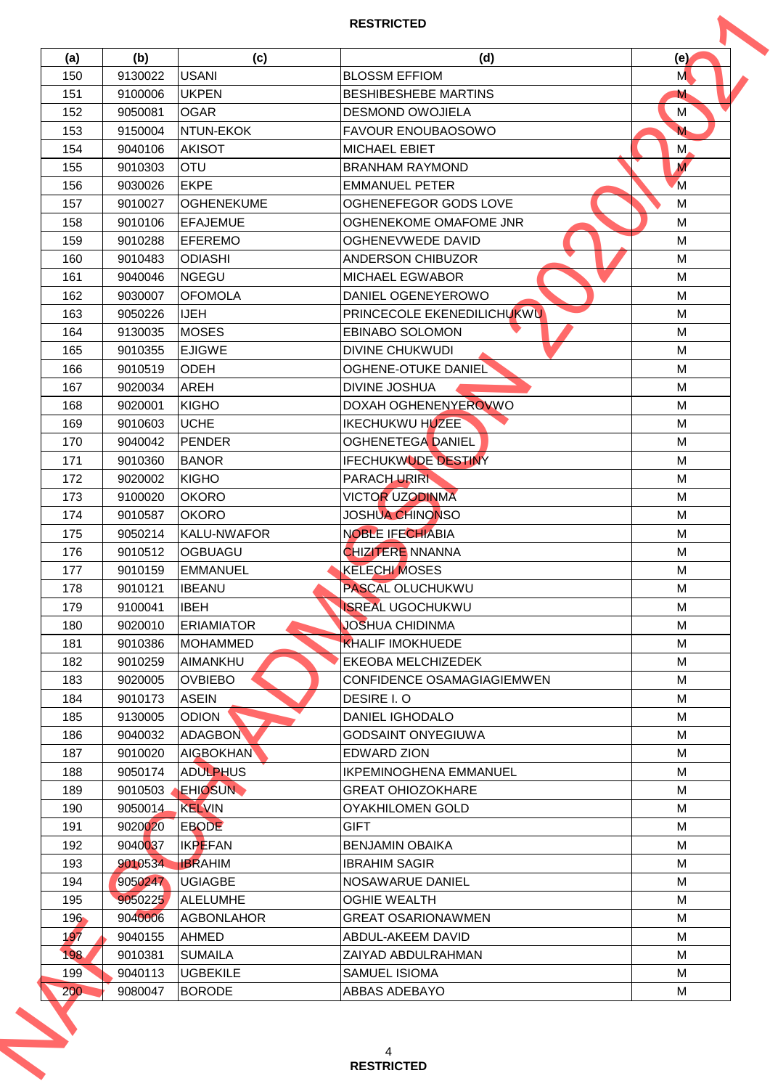| (a)     | (b)     | (c)                | (d)                           | (e)            |
|---------|---------|--------------------|-------------------------------|----------------|
| 150     | 9130022 | <b>USANI</b>       | <b>BLOSSM EFFIOM</b>          | M              |
| 151     | 9100006 | <b>UKPEN</b>       | <b>BESHIBESHEBE MARTINS</b>   | M              |
| 152     | 9050081 | <b>OGAR</b>        | <b>DESMOND OWOJIELA</b>       | M              |
| 153     | 9150004 | NTUN-EKOK          | <b>FAVOUR ENOUBAOSOWO</b>     | M              |
| 154     | 9040106 | <b>AKISOT</b>      | <b>MICHAEL EBIET</b>          | M,             |
| 155     | 9010303 | <b>OTU</b>         | <b>BRANHAM RAYMOND</b>        | $\overline{M}$ |
| 156     | 9030026 | <b>EKPE</b>        | <b>EMMANUEL PETER</b>         | <sup>M</sup>   |
| 157     | 9010027 | <b>OGHENEKUME</b>  | OGHENEFEGOR GODS LOVE         | M              |
| 158     | 9010106 | <b>EFAJEMUE</b>    | OGHENEKOME OMAFOME JNR        | M              |
| 159     | 9010288 | <b>EFEREMO</b>     | <b>OGHENEVWEDE DAVID</b>      | M              |
| 160     | 9010483 | <b>ODIASHI</b>     | <b>ANDERSON CHIBUZOR</b>      | М              |
| 161     | 9040046 | <b>NGEGU</b>       | <b>MICHAEL EGWABOR</b>        | M              |
| 162     | 9030007 | <b>OFOMOLA</b>     | DANIEL OGENEYEROWO            | M              |
| 163     | 9050226 | <b>IJEH</b>        | PRINCECOLE EKENEDILICHUKWU    | M              |
| 164     | 9130035 | <b>MOSES</b>       | <b>EBINABO SOLOMON</b>        | M              |
| 165     | 9010355 | <b>EJIGWE</b>      | <b>DIVINE CHUKWUDI</b>        | M              |
| 166     | 9010519 | <b>ODEH</b>        | <b>OGHENE-OTUKE DANIEL</b>    | M              |
| 167     | 9020034 | <b>AREH</b>        | <b>DIVINE JOSHUA</b>          | M              |
| 168     | 9020001 | <b>KIGHO</b>       | DOXAH OGHENENYEROVWO          | M              |
| 169     | 9010603 | <b>UCHE</b>        | <b>IKECHUKWU HUZEE</b>        | M              |
| 170     | 9040042 | PENDER             | <b>OGHENETEGA DANIEL</b>      | M              |
|         |         |                    |                               |                |
| 171     | 9010360 | <b>BANOR</b>       | <b>IFECHUKWUDE DESTINY</b>    | М              |
| 172     | 9020002 | KIGHO              | <b>PARACH URIRK</b>           | M              |
| 173     | 9100020 | <b>OKORO</b>       | <b>VICTOR UZODINMA</b>        | M              |
| 174     | 9010587 | <b>OKORO</b>       | <b>JOSHUA CHINONSO</b>        | М              |
| 175     | 9050214 | <b>KALU-NWAFOR</b> | <b>NOBLE IFECHIABIA</b>       | M              |
| 176     | 9010512 | <b>OGBUAGU</b>     | <b>CHIZITERE NNANNA</b>       | M              |
| 177     | 9010159 | <b>EMMANUEL</b>    | <b>KELECHI MOSES</b>          | M              |
| 178     | 9010121 | <b>IBEANU</b>      | <b>PASCAL OLUCHUKWU</b>       | M              |
| 179     | 9100041 | <b>IBEH</b>        | <b>ISREAL UGOCHUKWU</b>       | M              |
| 180     | 9020010 | <b>ERIAMIATOR</b>  | JOSHUA CHIDINMA               | M              |
| 181     | 9010386 | IMOHAMMED          | <b>KHALIF IMOKHUEDE</b>       | М              |
| 182     | 9010259 | <b>AIMANKHU</b>    | <b>EKEOBA MELCHIZEDEK</b>     | M              |
| 183     | 9020005 | <b>OVBIEBO</b>     | CONFIDENCE OSAMAGIAGIEMWEN    | M              |
| 184     | 9010173 | <b>ASEIN</b>       | DESIRE I.O                    | M              |
| 185     | 9130005 | <b>ODION</b>       | <b>DANIEL IGHODALO</b>        | M              |
| 186     | 9040032 | <b>ADAGBON</b>     | <b>GODSAINT ONYEGIUWA</b>     | M              |
| 187     | 9010020 | <b>AIGBOKHAN</b>   | <b>EDWARD ZION</b>            | M              |
| 188     | 9050174 | <b>ADULPHUS</b>    | <b>IKPEMINOGHENA EMMANUEL</b> | M              |
| 189     | 9010503 | <b>EHIOSUN</b>     | <b>GREAT OHIOZOKHARE</b>      | M              |
| 190     | 9050014 | KELVIN             | OYAKHILOMEN GOLD              | M              |
| 191     | 9020020 | <b>EBODE</b>       | <b>GIFT</b>                   | M              |
| 192     | 9040037 | <b>IKPEFAN</b>     | BENJAMIN OBAIKA               | М              |
| 193     | 9010534 | <b>IBRAHIM</b>     | <b>IBRAHIM SAGIR</b>          | M              |
| 194     | 9050247 | <b>UGIAGBE</b>     | NOSAWARUE DANIEL              | M              |
| 195     | 9050225 | ALELUMHE           | <b>OGHIE WEALTH</b>           | M              |
| $196 -$ | 9040006 | IAGBONLAHOR        | <b>GREAT OSARIONAWMEN</b>     | M              |
| 197     | 9040155 | <b>AHMED</b>       | ABDUL-AKEEM DAVID             | M              |
| 198     | 9010381 | <b>SUMAILA</b>     | ZAIYAD ABDULRAHMAN            | M              |
| 199     | 9040113 | <b>UGBEKILE</b>    | SAMUEL ISIOMA                 | м              |
|         | 9080047 | <b>BORODE</b>      | ABBAS ADEBAYO                 | М              |
| 200     |         |                    |                               |                |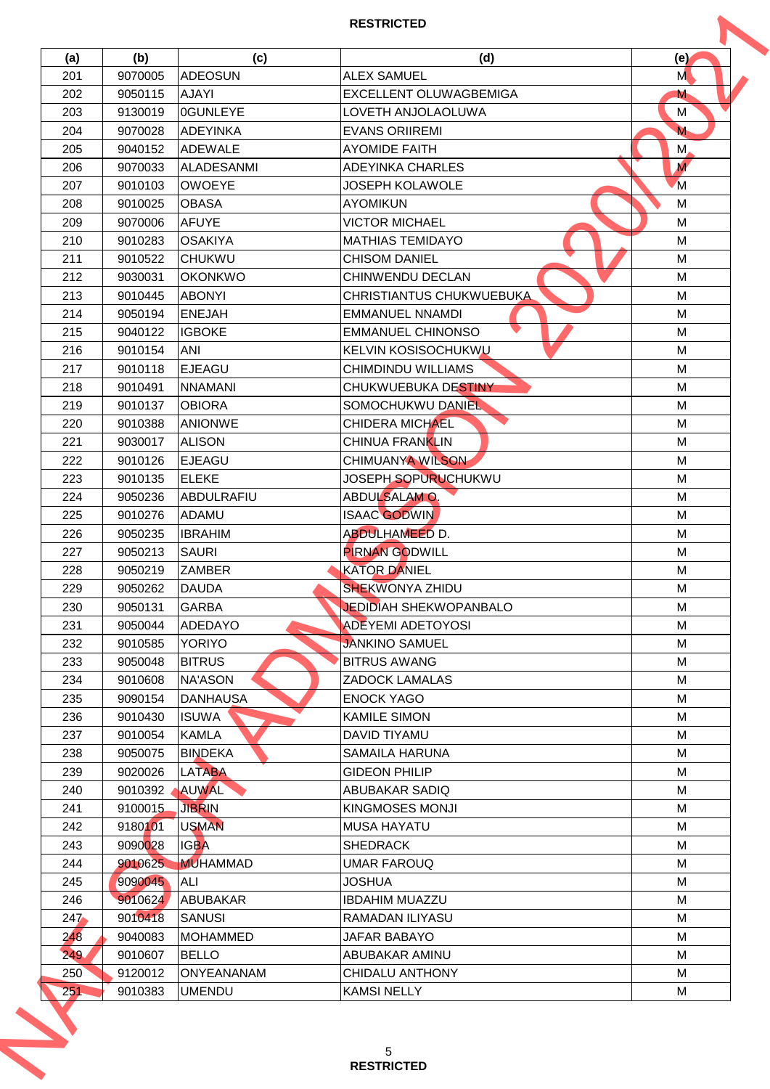| 201 | (b)     | (c)               | (d)                             | (e)            |
|-----|---------|-------------------|---------------------------------|----------------|
|     | 9070005 | ADEOSUN           | <b>ALEX SAMUEL</b>              | M              |
| 202 | 9050115 | <b>AJAYI</b>      | EXCELLENT OLUWAGBEMIGA          | M              |
| 203 | 9130019 | OGUNLEYE          | LOVETH ANJOLAOLUWA              | M              |
| 204 | 9070028 | ADEYINKA          | <b>EVANS ORIIREMI</b>           | M              |
| 205 | 9040152 | <b>ADEWALE</b>    | <b>AYOMIDE FAITH</b>            | M,             |
| 206 | 9070033 | <b>ALADESANMI</b> | <b>ADEYINKA CHARLES</b>         | $\overline{M}$ |
| 207 | 9010103 | <b>OWOEYE</b>     | <b>JOSEPH KOLAWOLE</b>          | <sup>M</sup>   |
| 208 | 9010025 | <b>OBASA</b>      | <b>AYOMIKUN</b>                 | M              |
| 209 | 9070006 | <b>AFUYE</b>      | <b>VICTOR MICHAEL</b>           | M              |
| 210 | 9010283 | <b>OSAKIYA</b>    | <b>MATHIAS TEMIDAYO</b>         | M              |
| 211 | 9010522 | <b>CHUKWU</b>     | <b>CHISOM DANIEL</b>            | M              |
| 212 | 9030031 | <b>OKONKWO</b>    | <b>CHINWENDU DECLAN</b>         | M              |
| 213 | 9010445 | <b>ABONYI</b>     | <b>CHRISTIANTUS CHUKWUEBUKA</b> | M              |
| 214 | 9050194 | <b>ENEJAH</b>     | <b>EMMANUEL NNAMDI</b>          | M              |
| 215 | 9040122 | <b>IGBOKE</b>     | <b>EMMANUEL CHINONSO</b>        | M              |
| 216 | 9010154 | <b>ANI</b>        | <b>KELVIN KOSISOCHUKWU</b>      | M              |
| 217 | 9010118 | EJEAGU            | CHIMDINDU WILLIAMS              | M              |
| 218 | 9010491 | <b>NNAMANI</b>    | CHUKWUEBUKA DESTINY             | M              |
| 219 | 9010137 | <b>OBIORA</b>     | SOMOCHUKWU DANIEL               | M              |
| 220 | 9010388 | <b>ANIONWE</b>    | <b>CHIDERA MICHAEL</b>          | M              |
| 221 | 9030017 | <b>ALISON</b>     | <b>CHINUA FRANKLIN</b>          | M              |
| 222 | 9010126 | EJEAGU            | CHIMUANYA WILSON                | M              |
| 223 | 9010135 | ELEKE             | JOSEPH SOPURUCHUKWU             | M              |
| 224 |         | ABDULRAFIU        | ABDULSALAMO.                    | M              |
|     | 9050236 |                   | <b>ISAAC GODWIN</b>             |                |
| 225 | 9010276 | ADAMU             |                                 | М              |
| 226 | 9050235 | <b>IBRAHIM</b>    | <b>ABDULHAMEED D.</b>           | M              |
| 227 | 9050213 | <b>SAURI</b>      | <b>PIRNAN GODWILL</b>           | M              |
| 228 | 9050219 | <b>ZAMBER</b>     | <b>KATOR DANIEL</b>             | M              |
| 229 | 9050262 | <b>DAUDA</b>      | <b>SHEKWONYA ZHIDU</b>          | M              |
| 230 | 9050131 | <b>GARBA</b>      | <b>JEDIDIAH SHEKWOPANBALO</b>   | M              |
| 231 | 9050044 | <b>ADEDAYO</b>    | <b>ADEYEMI ADETOYOSI</b>        | M              |
| 232 | 9010585 | <b>YORIYO</b>     | <b>JANKINO SAMUEL</b>           | М              |
| 233 | 9050048 | <b>BITRUS</b>     | <b>BITRUS AWANG</b>             | M              |
| 234 | 9010608 | <b>NA'ASON</b>    | <b>ZADOCK LAMALAS</b>           | M              |
| 235 | 9090154 | <b>DANHAUSA</b>   | <b>ENOCK YAGO</b>               | M              |
| 236 | 9010430 | <b>ISUWA</b>      | <b>KAMILE SIMON</b>             | M              |
| 237 | 9010054 | <b>KAMLA</b>      | DAVID TIYAMU                    | M              |
| 238 | 9050075 | <b>BINDEKA</b>    | <b>SAMAILA HARUNA</b>           | M              |
| 239 | 9020026 | <b>LATABA</b>     | <b>GIDEON PHILIP</b>            | M              |
| 240 | 9010392 | <b>AUWAL</b>      | ABUBAKAR SADIQ                  | M              |
| 241 | 9100015 | <b>JIBRIN</b>     | <b>KINGMOSES MONJI</b>          | M              |
| 242 | 9180101 | <b>USMAN</b>      | <b>MUSA HAYATU</b>              | M              |
| 243 | 9090028 | <b>IGBA</b>       | <b>SHEDRACK</b>                 | М              |
| 244 | 9010625 | <b>MUHAMMAD</b>   | UMAR FAROUQ                     | M              |
| 245 | 9090045 | ALI               | <b>JOSHUA</b>                   | M              |
| 246 | 9010624 | ABUBAKAR          | <b>IBDAHIM MUAZZU</b>           | M              |
| 247 | 9010418 | <b>SANUSI</b>     | RAMADAN ILIYASU                 | M              |
| 248 | 9040083 | MOHAMMED          | JAFAR BABAYO                    | M              |
| 249 | 9010607 | <b>BELLO</b>      | ABUBAKAR AMINU                  | M              |
|     | 9120012 | ONYEANANAM        | CHIDALU ANTHONY                 | M              |
| 250 |         |                   |                                 |                |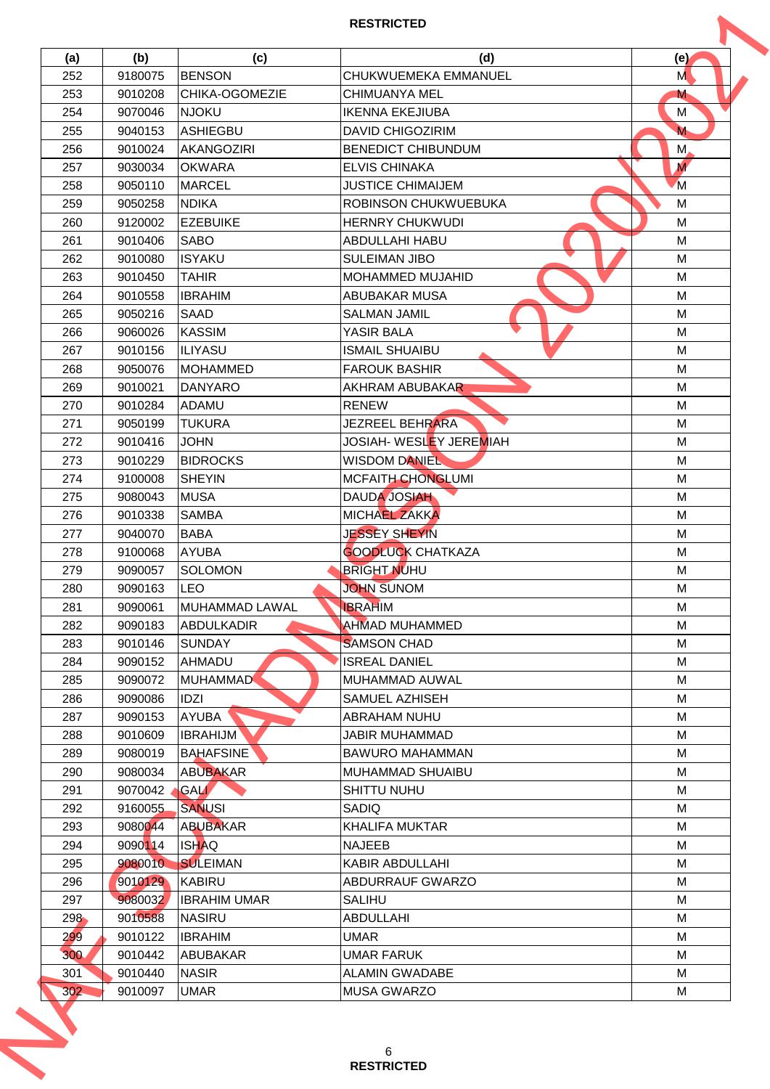| (a) | (b)     | (c)                 | (d)                                    | (e)            |
|-----|---------|---------------------|----------------------------------------|----------------|
| 252 | 9180075 | <b>BENSON</b>       | CHUKWUEMEKA EMMANUEL                   | M              |
| 253 | 9010208 | CHIKA-OGOMEZIE      | <b>CHIMUANYA MEL</b>                   | M              |
| 254 | 9070046 | <b>NJOKU</b>        | <b>IKENNA EKEJIUBA</b>                 | M              |
| 255 | 9040153 | ASHIEGBU            | <b>DAVID CHIGOZIRIM</b>                | M              |
| 256 | 9010024 | AKANGOZIRI          | <b>BENEDICT CHIBUNDUM</b>              | M,             |
| 257 | 9030034 | <b>OKWARA</b>       | <b>ELVIS CHINAKA</b>                   | $\overline{M}$ |
| 258 | 9050110 | <b>MARCEL</b>       | <b>JUSTICE CHIMAIJEM</b>               | M              |
| 259 | 9050258 | <b>NDIKA</b>        | ROBINSON CHUKWUEBUKA                   | M              |
| 260 | 9120002 | <b>EZEBUIKE</b>     | <b>HERNRY CHUKWUDI</b>                 | M              |
| 261 | 9010406 | <b>SABO</b>         | ABDULLAHI HABU                         | M              |
| 262 | 9010080 | <b>ISYAKU</b>       | <b>SULEIMAN JIBO</b>                   | M              |
| 263 | 9010450 | <b>TAHIR</b>        | <b>MOHAMMED MUJAHID</b>                | M              |
| 264 | 9010558 | <b>IBRAHIM</b>      | ABUBAKAR MUSA                          | M              |
| 265 | 9050216 | <b>SAAD</b>         | <b>SALMAN JAMIL</b>                    | M              |
| 266 | 9060026 | KASSIM              | YASIR BALA                             | M              |
| 267 | 9010156 | ILIYASU             | <b>ISMAIL SHUAIBU</b>                  | M              |
| 268 | 9050076 | MOHAMMED            | <b>FAROUK BASHIR</b>                   | M              |
| 269 | 9010021 | DANYARO             | AKHRAM ABUBAKAR                        | M              |
| 270 | 9010284 | <b>ADAMU</b>        | <b>RENEW</b>                           | M              |
| 271 | 9050199 | <b>TUKURA</b>       | JEZREEL BEHRARA                        | M              |
|     |         |                     |                                        |                |
| 272 | 9010416 | <b>JOHN</b>         | JOSIAH- WESL <mark>E</mark> Y JEREMIAH | M              |
| 273 | 9010229 | <b>BIDROCKS</b>     | <b>WISDOM DANIEL</b>                   | M              |
| 274 | 9100008 | <b>SHEYIN</b>       | <b>MCFAITH CHONGLUMI</b>               | M              |
| 275 | 9080043 | <b>MUSA</b>         | <b>DAUDA JOSIAH</b>                    | M              |
| 276 | 9010338 | <b>SAMBA</b>        | <b>MICHAEL ZAKKA</b>                   | М              |
| 277 | 9040070 | <b>BABA</b>         | <b>JESSEY SHEYIN</b>                   | M              |
| 278 | 9100068 | AYUBA               | <b>GOODLUCK CHATKAZA</b>               | M              |
| 279 | 9090057 | <b>SOLOMON</b>      | <b>BRIGHT NUHU</b>                     | M              |
| 280 | 9090163 | <b>LEO</b>          | <b>JOHN SUNOM</b>                      | M              |
| 281 | 9090061 | MUHAMMAD LAWAL      | <b>IBRAHIM</b>                         | M              |
| 282 | 9090183 | <b>ABDULKADIR</b>   | <b>AHMAD MUHAMMED</b>                  | M              |
| 283 | 9010146 | <b>SUNDAY</b>       | <b>SAMSON CHAD</b>                     | М              |
| 284 | 9090152 | <b>AHMADU</b>       | <b>ISREAL DANIEL</b>                   | M              |
| 285 | 9090072 | <b>MUHAMMAD</b>     | MUHAMMAD AUWAL                         | M              |
| 286 | 9090086 | <b>IDZI</b>         | SAMUEL AZHISEH                         | M              |
| 287 | 9090153 | <b>AYUBA</b>        | ABRAHAM NUHU                           | M              |
| 288 | 9010609 | <b>IBRAHIJM</b>     | <b>JABIR MUHAMMAD</b>                  | M              |
| 289 | 9080019 | <b>BAHAFSINE</b>    | <b>BAWURO MAHAMMAN</b>                 | M              |
| 290 | 9080034 | <b>ABUBAKAR</b>     | <b>MUHAMMAD SHUAIBU</b>                | M              |
| 291 | 9070042 | <b>GAL</b>          | <b>SHITTU NUHU</b>                     | M              |
| 292 | 9160055 | <b>SANUSI</b>       | SADIQ                                  | M              |
| 293 | 9080044 | <b>ABUBAKAR</b>     | <b>KHALIFA MUKTAR</b>                  | M              |
| 294 | 9090114 | <b>ISHAQ</b>        | <b>NAJEEB</b>                          | М              |
| 295 | 9080010 | <b>SULEIMAN</b>     | KABIR ABDULLAHI                        | M              |
| 296 | 9010129 | KABIRU              | ABDURRAUF GWARZO                       | M              |
| 297 | 9080032 | <b>IBRAHIM UMAR</b> | <b>SALIHU</b>                          | M              |
| 298 | 9010588 | INASIRU             | ABDULLAHI                              | M              |
| 299 | 9010122 | <b>IBRAHIM</b>      | <b>UMAR</b>                            | M              |
| 300 | 9010442 | ABUBAKAR            | <b>UMAR FARUK</b>                      | M              |
| 301 | 9010440 | <b>NASIR</b>        | <b>ALAMIN GWADABE</b>                  | M              |
|     | 9010097 | <b>UMAR</b>         | <b>MUSA GWARZO</b>                     | М              |
| 302 |         |                     |                                        |                |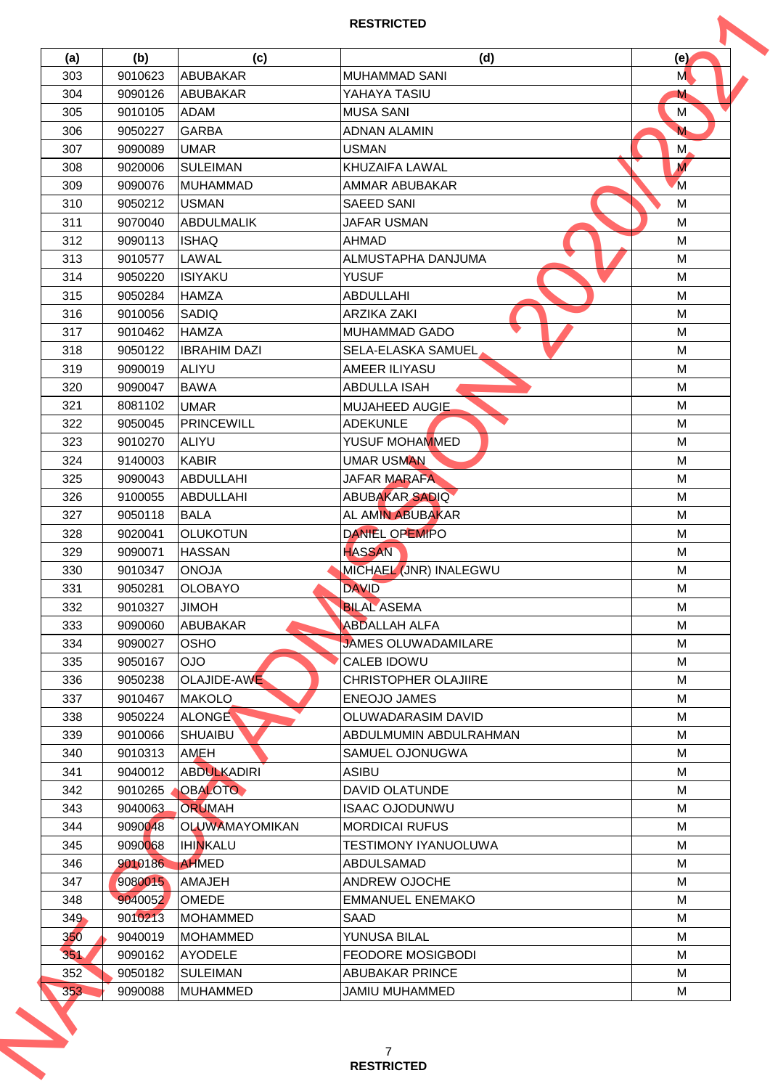| (a)     | (b)     | (c)                          | (d)                               | (e)              |
|---------|---------|------------------------------|-----------------------------------|------------------|
| 303     | 9010623 | ABUBAKAR                     | <b>MUHAMMAD SANI</b>              | M                |
| 304     | 9090126 | <b>ABUBAKAR</b>              | YAHAYA TASIU                      | M                |
| 305     | 9010105 | <b>ADAM</b>                  | <b>MUSA SANI</b>                  | M                |
| 306     | 9050227 | <b>GARBA</b>                 | <b>ADNAN ALAMIN</b>               | M                |
| 307     | 9090089 | <b>UMAR</b>                  | <b>USMAN</b>                      | M                |
| 308     | 9020006 | SULEIMAN                     | KHUZAIFA LAWAL                    | $\boldsymbol{M}$ |
| 309     | 9090076 | IMUHAMMAD                    | AMMAR ABUBAKAR                    | M                |
| 310     | 9050212 | <b>USMAN</b>                 | <b>SAEED SANI</b>                 | M                |
| 311     | 9070040 | <b>ABDULMALIK</b>            | <b>JAFAR USMAN</b>                | M                |
| 312     | 9090113 | <b>ISHAQ</b>                 | <b>AHMAD</b>                      | M                |
| 313     | 9010577 | <b>LAWAL</b>                 | ALMUSTAPHA DANJUMA                | M                |
| 314     | 9050220 | <b>ISIYAKU</b>               | <b>YUSUF</b>                      | M                |
| 315     | 9050284 | <b>HAMZA</b>                 | <b>ABDULLAHI</b>                  | M                |
| 316     | 9010056 | <b>SADIO</b>                 | ARZIKA ZAKI                       | M                |
| 317     | 9010462 | <b>HAMZA</b>                 | <b>MUHAMMAD GADO</b>              | M                |
| 318     | 9050122 | <b>IBRAHIM DAZI</b>          | <b>SELA-ELASKA SAMUEL</b>         | M                |
| 319     | 9090019 | <b>ALIYU</b>                 | AMEER ILIYASU                     | M                |
| 320     | 9090047 | <b>BAWA</b>                  | <b>ABDULLA ISAH</b>               | M                |
| 321     | 8081102 | <b>UMAR</b>                  |                                   | M                |
| 322     | 9050045 | PRINCEWILL                   | MUJAHEED AUGIE<br><b>ADEKUNLE</b> | M                |
| 323     |         | <b>ALIYU</b>                 | YUSUF MOHAMMED                    | M                |
|         | 9010270 |                              | <b>UMAR USMAN</b>                 |                  |
| 324     | 9140003 | <b>KABIR</b>                 |                                   | M                |
| 325     | 9090043 | <b>ABDULLAHI</b>             | <b>JAFAR MARAFA</b>               | M                |
| 326     | 9100055 | <b>ABDULLAHI</b>             | <b>ABUBAKAR SADIQ</b>             | M                |
| 327     | 9050118 | <b>BALA</b>                  | AL AMIN ABUBAKAR                  | M                |
| 328     | 9020041 | <b>OLUKOTUN</b>              | <b>DANIEL OPEMIPO</b>             | M                |
| 329     | 9090071 | <b>HASSAN</b>                | <b>HASSAN</b>                     | M                |
| 330     | 9010347 | <b>ONOJA</b>                 | MICHAEL (JNR) INALEGWU            | M                |
| 331     | 9050281 | <b>OLOBAYO</b>               | <b>DAVID</b>                      | M                |
| 332     | 9010327 | <b>HOMIL</b>                 | <b>BILAL ASEMA</b>                | M                |
| 333     | 9090060 | <b>ABUBAKAR</b>              | <b>ABDALLAH ALFA</b>              | M                |
| 334     | 9090027 | <b>OSHO</b>                  | <b>JAMES OLUWADAMILARE</b>        | М                |
| 335     | 9050167 | OJO                          | <b>CALEB IDOWU</b>                | M                |
| 336     | 9050238 | OLAJIDE-AWE                  | <b>CHRISTOPHER OLAJIIRE</b>       | M                |
| 337     | 9010467 | <b>MAKOLO</b>                | <b>ENEOJO JAMES</b>               | M                |
| 338     | 9050224 | ALONGE                       | OLUWADARASIM DAVID                | M                |
| 339     | 9010066 | <b>SHUAIBU</b>               | ABDULMUMIN ABDULRAHMAN            | M                |
| 340     | 9010313 | AMEH                         | SAMUEL OJONUGWA                   | M                |
| 341     | 9040012 | <b>ABDULKADIRI</b>           | <b>ASIBU</b>                      | M                |
| 342     | 9010265 | <b>OBALOTO</b>               | DAVID OLATUNDE                    | M                |
| 343     | 9040063 | <b>ORUMAH</b>                | <b>ISAAC OJODUNWU</b>             | M                |
| 344     | 9090048 | <b>OLUWAMAYOMIKAN</b>        | <b>MORDICAI RUFUS</b>             | M                |
| 345     | 9090068 | <b>IHI<mark>N</mark>KALU</b> | <b>TESTIMONY IYANUOLUWA</b>       | М                |
| 346     | 9010186 | <b>AHMED</b>                 | ABDULSAMAD                        | M                |
| 347     | 9080015 | <b>AMAJEH</b>                | ANDREW OJOCHE                     | M                |
| 348     | 9040052 | <b>OMEDE</b>                 | <b>EMMANUEL ENEMAKO</b>           | M                |
| $349 -$ | 9010213 | IMOHAMMED                    | SAAD                              | M                |
| 350     | 9040019 | MOHAMMED                     | YUNUSA BILAL                      | M                |
| 351     | 9090162 | <b>AYODELE</b>               | <b>FEODORE MOSIGBODI</b>          | M                |
| 352     | 9050182 | <b>SULEIMAN</b>              | <b>ABUBAKAR PRINCE</b>            | м                |
|         | 9090088 | <b>MUHAMMED</b>              | <b>JAMIU MUHAMMED</b>             | М                |
| 353     |         |                              |                                   |                  |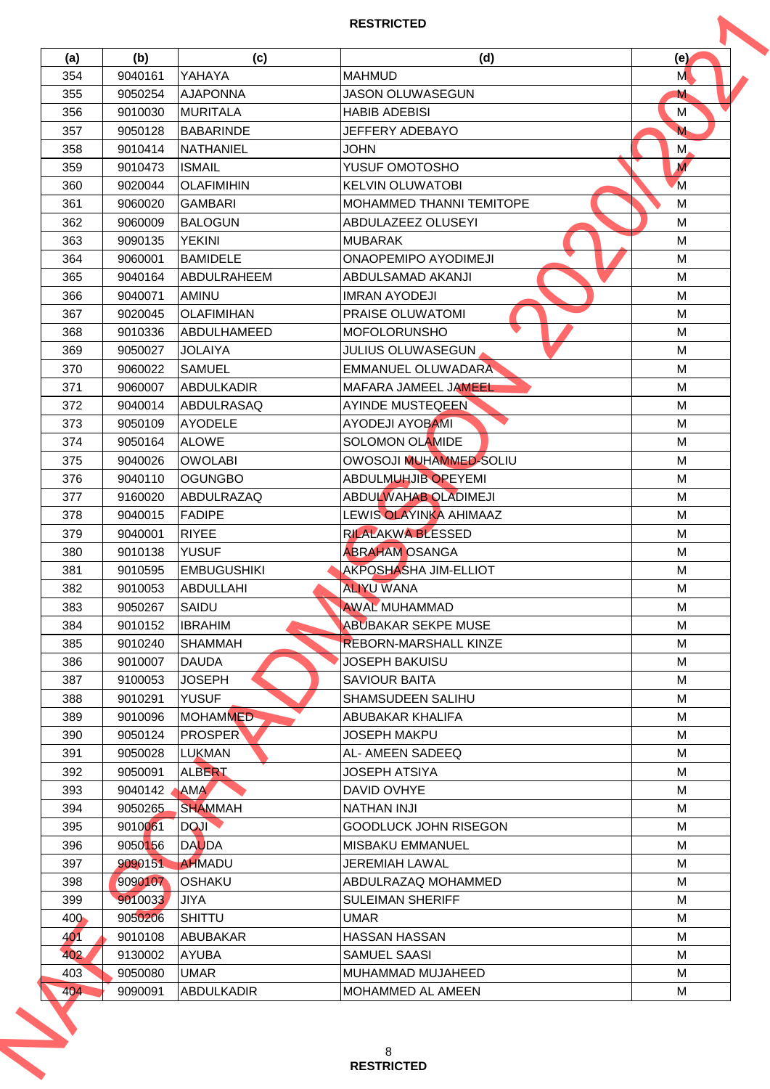| (a) | (b)     | (c)                | (d)                          | (e)            |
|-----|---------|--------------------|------------------------------|----------------|
| 354 | 9040161 | YAHAYA             | <b>MAHMUD</b>                | M              |
| 355 | 9050254 | <b>AJAPONNA</b>    | <b>JASON OLUWASEGUN</b>      | M              |
| 356 | 9010030 | IMURITALA          | <b>HABIB ADEBISI</b>         | M              |
| 357 | 9050128 | BABARINDE          | JEFFERY ADEBAYO              | M              |
| 358 | 9010414 | INATHANIEL         | <b>JOHN</b>                  | M,             |
| 359 | 9010473 | <b>ISMAIL</b>      | YUSUF OMOTOSHO               | $\overline{M}$ |
| 360 | 9020044 | <b>OLAFIMIHIN</b>  | <b>KELVIN OLUWATOBI</b>      | <sup>M</sup>   |
| 361 | 9060020 | <b>GAMBARI</b>     | MOHAMMED THANNI TEMITOPE     | M              |
| 362 | 9060009 | IBALOGUN           | ABDULAZEEZ OLUSEYI           | M              |
| 363 | 9090135 | <b>YEKINI</b>      | <b>MUBARAK</b>               | M              |
| 364 | 9060001 | <b>BAMIDELE</b>    | ONAOPEMIPO AYODIMEJI         | М              |
| 365 | 9040164 | <b>ABDULRAHEEM</b> | ABDULSAMAD AKANJI            | M              |
| 366 | 9040071 | AMINU              | <b>IMRAN AYODEJI</b>         | M              |
| 367 | 9020045 | <b>OLAFIMIHAN</b>  | PRAISE OLUWATOMI             | М              |
| 368 | 9010336 | <b>ABDULHAMEED</b> | <b>MOFOLORUNSHO</b>          | M              |
| 369 | 9050027 | <b>JOLAIYA</b>     | <b>JULIUS OLUWASEGUN</b>     | M              |
| 370 | 9060022 | <b>SAMUEL</b>      | <b>EMMANUEL OLUWADARA</b>    | M              |
| 371 | 9060007 | ABDULKADIR         | MAFARA JAMEEL JAMEEL         | M              |
| 372 | 9040014 | <b>ABDULRASAQ</b>  | AYINDE MUSTEQEEN             | M              |
| 373 | 9050109 | <b>AYODELE</b>     | <b>AYODEJI AYOBAMI</b>       | M              |
| 374 | 9050164 | <b>ALOWE</b>       | <b>SOLOMON OLAMIDE</b>       | M              |
|     |         |                    |                              |                |
| 375 | 9040026 | <b>OWOLABI</b>     | OWOSOJI MUHAMMED-SOLIU       | М              |
| 376 | 9040110 | <b>OGUNGBO</b>     | <b>ABDULMUHJIB OPEYEMI</b>   | M              |
| 377 | 9160020 | <b>ABDULRAZAQ</b>  | ABDULWAHAB OLADIMEJI         | M              |
| 378 | 9040015 | <b>FADIPE</b>      | LEWIS OLAYINKA AHIMAAZ       | М              |
| 379 | 9040001 | <b>RIYEE</b>       | <b>RILALAKWA BLESSED</b>     | M              |
| 380 | 9010138 | <b>YUSUF</b>       | <b>ABRAHAM OSANGA</b>        | M              |
| 381 | 9010595 | <b>EMBUGUSHIKI</b> | AKPOSHASHA JIM-ELLIOT        | M              |
| 382 | 9010053 | <b>ABDULLAHI</b>   | <b>ALIYU WANA</b>            | M              |
| 383 | 9050267 | SAIDU              | <b>AWAL MUHAMMAD</b>         | М              |
| 384 | 9010152 | <b>IBRAHIM</b>     | <b>ABUBAKAR SEKPE MUSE</b>   | M              |
| 385 | 9010240 | <b>SHAMMAH</b>     | <b>REBORN-MARSHALL KINZE</b> | M              |
| 386 | 9010007 | <b>DAUDA</b>       | JOSEPH BAKUISU               | M              |
| 387 | 9100053 | <b>JOSEPH</b>      | <b>SAVIOUR BAITA</b>         | M              |
| 388 | 9010291 | <b>YUSUF</b>       | <b>SHAMSUDEEN SALIHU</b>     | M              |
| 389 | 9010096 | MOHAMMED-          | ABUBAKAR KHALIFA             | M              |
| 390 | 9050124 | <b>PROSPER</b>     | <b>JOSEPH MAKPU</b>          | M              |
| 391 | 9050028 | <b>LUKMAN</b>      | AL- AMEEN SADEEQ             | M              |
| 392 | 9050091 | <b>ALBERT</b>      | JOSEPH ATSIYA                | M              |
| 393 | 9040142 | <b>AMA</b>         | DAVID OVHYE                  | M              |
| 394 | 9050265 | <b>SHAMMAH</b>     | <b>NATHAN INJI</b>           | M              |
| 395 | 9010061 | <b>DOJI</b>        | <b>GOODLUCK JOHN RISEGON</b> | M              |
| 396 | 9050156 | <b>DAUDA</b>       | <b>IMISBAKU EMMANUEL</b>     | M              |
| 397 | 9090151 | <b>AHMADU</b>      | JEREMIAH LAWAL               | M              |
| 398 | 9090107 | <b>OSHAKU</b>      | ABDULRAZAQ MOHAMMED          | M              |
| 399 | 9010033 | <b>JIYA</b>        | <b>SULEIMAN SHERIFF</b>      | M              |
| 400 | 9050206 | <b>SHITTU</b>      | <b>UMAR</b>                  | м              |
| 401 | 9010108 | <b>ABUBAKAR</b>    | <b>HASSAN HASSAN</b>         | M              |
| 402 | 9130002 | <b>AYUBA</b>       | SAMUEL SAASI                 | M              |
| 403 | 9050080 | <b>UMAR</b>        | MUHAMMAD MUJAHEED            | м              |
|     | 9090091 | <b>ABDULKADIR</b>  | MOHAMMED AL AMEEN            | М              |
| 404 |         |                    |                              |                |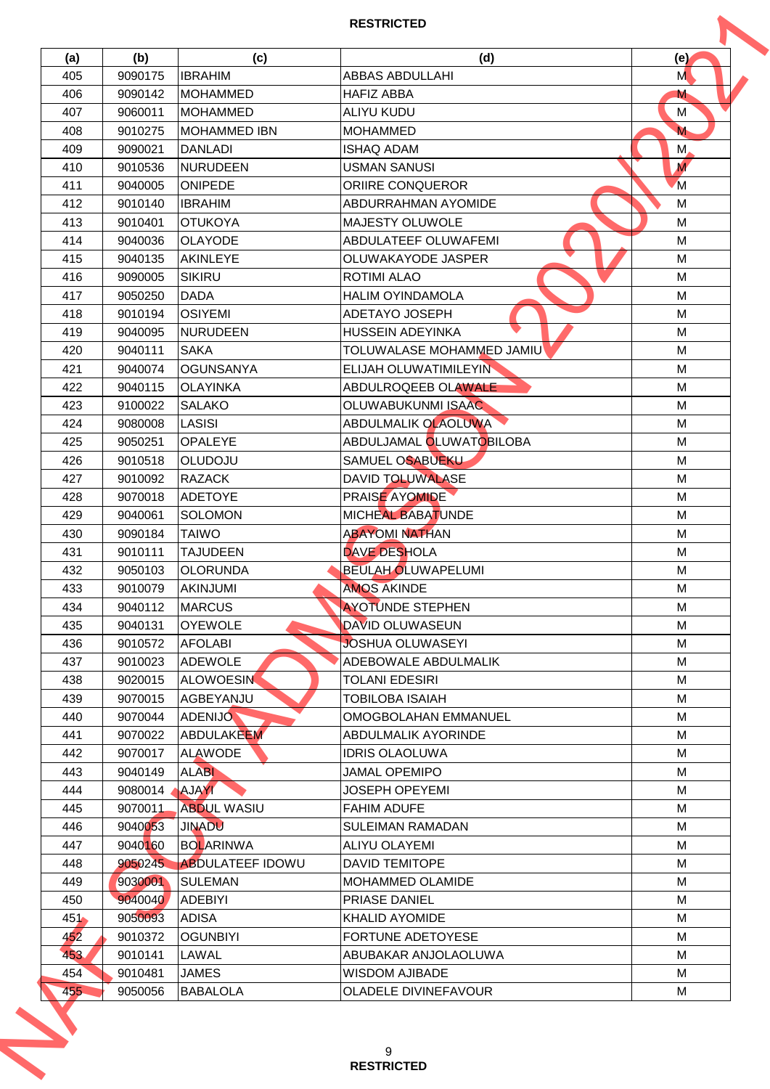| (a)     | (b)                | (c)                      | (d)                                           | (e)            |
|---------|--------------------|--------------------------|-----------------------------------------------|----------------|
| 405     | 9090175            | <b>IBRAHIM</b>           | ABBAS ABDULLAHI                               | M              |
| 406     | 9090142            | <b>MOHAMMED</b>          | <b>HAFIZ ABBA</b>                             | M              |
| 407     | 9060011            | IMOHAMMED                | <b>ALIYU KUDU</b>                             | M              |
| 408     | 9010275            | MOHAMMED IBN             | <b>MOHAMMED</b>                               | M              |
| 409     | 9090021            | <b>DANLADI</b>           | <b>ISHAQ ADAM</b>                             | M,             |
| 410     | 9010536            | <b>NURUDEEN</b>          | <b>USMAN SANUSI</b>                           | $\overline{M}$ |
| 411     | 9040005            | <b>ONIPEDE</b>           | <b>ORIIRE CONQUEROR</b>                       | <sup>M</sup>   |
| 412     | 9010140            | <b>IBRAHIM</b>           | ABDURRAHMAN AYOMIDE                           | M              |
| 413     | 9010401            | <b>OTUKOYA</b>           | <b>MAJESTY OLUWOLE</b>                        | M              |
| 414     | 9040036            | <b>OLAYODE</b>           | ABDULATEEF OLUWAFEMI                          | M              |
| 415     | 9040135            | <b>AKINLEYE</b>          | OLUWAKAYODE JASPER                            | M              |
| 416     | 9090005            | <b>SIKIRU</b>            | <b>ROTIMI ALAO</b>                            | M              |
| 417     | 9050250            | <b>DADA</b>              | <b>HALIM OYINDAMOLA</b>                       | M              |
| 418     | 9010194            | <b>OSIYEMI</b>           | ADETAYO JOSEPH                                | M              |
| 419     | 9040095            | <b>NURUDEEN</b>          | <b>HUSSEIN ADEYINKA</b>                       | M              |
| 420     | 9040111            | <b>SAKA</b>              | TOLUWALASE MOHAMMED JAMIU                     | M              |
| 421     | 9040074            | <b>OGUNSANYA</b>         | <b>ELIJAH OLUWATIMILEYIN</b>                  | M              |
| 422     | 9040115            | <b>OLAYINKA</b>          | ABDULROQEEB OLAWALE                           | M              |
| 423     | 9100022            | <b>SALAKO</b>            | OLUWABUKUNMI ISAAC                            | M              |
| 424     | 9080008            | LASISI                   | ABDULMALIK OLAOLUWA                           | M              |
|         |                    |                          |                                               |                |
| 425     | 9050251            | <b>OPALEYE</b>           | ABDULJAMAL OLUWATOBILOBA                      | M              |
| 426     | 9010518            | <b>OLUDOJU</b>           | SAMUEL OSABUEKU                               | M              |
| 427     | 9010092            | <b>RAZACK</b>            | <b>DAVID TOLUWALASE</b>                       | M              |
| 428     | 9070018            | ADETOYE                  | <b>PRAISE AYOMIDE</b>                         | M              |
| 429     | 9040061            | <b>SOLOMON</b>           | MICHEAL BABATUNDE                             | М              |
| 430     | 9090184            | <b>TAIWO</b>             | <b>ABAYOMI NATHAN</b>                         | M              |
| 431     | 9010111            | <b>TAJUDEEN</b>          | <b>DAVE DESHOLA</b>                           | M              |
| 432     | 9050103            | <b>OLORUNDA</b>          | <b>BEULAH OLUWAPELUMI</b>                     | M              |
| 433     | 9010079            | AKINJUMI                 | <b>AMOS AKINDE</b>                            | M              |
| 434     | 9040112            | <b>MARCUS</b>            | <b>AYOTUNDE STEPHEN</b>                       | M              |
| 435     | 9040131            | <b>OYEWOLE</b>           | <b>DAVID OLUWASEUN</b>                        | M              |
| 436     | 9010572            | <b>AFOLABI</b>           | <b>JOSHUA OLUWASEYI</b>                       | M              |
| 437     | 9010023            | <b>ADEWOLE</b>           | ADEBOWALE ABDULMALIK                          | M              |
| 438     | 9020015            | <b>ALOWOESIN</b>         | <b>TOLANI EDESIRI</b>                         | M              |
| 439     | 9070015            | <b>AGBEYANJU</b>         | TOBILOBA ISAIAH                               | M              |
| 440     | 9070044            | <b>ADENIJO</b>           | OMOGBOLAHAN EMMANUEL                          | м              |
| 441     | 9070022            | ABDULAKEEM               | ABDULMALIK AYORINDE                           | M              |
| 442     | 9070017            | <b>ALAWODE</b>           | <b>IDRIS OLAOLUWA</b>                         | M              |
| 443     | 9040149            | <b>ALABI</b>             | JAMAL OPEMIPO                                 | M              |
| 444     | 9080014            | <b>AJAYI</b>             | JOSEPH OPEYEMI                                | M              |
| 445     | 9070011            | <b>ABDUL WASIU</b>       | <b>FAHIM ADUFE</b>                            | M              |
| 446     | 9040053            | <b>JINADU</b>            | <b>SULEIMAN RAMADAN</b>                       | M              |
| 447     | 9040160            | <b>BOLARINWA</b>         | ALIYU OLAYEMI                                 | M              |
| 448     | 9050245            | <b>ABDULATEEF IDOWU</b>  | <b>DAVID TEMITOPE</b>                         | M              |
| 449     | 9030001            | <b>SULEMAN</b>           | MOHAMMED OLAMIDE                              | M              |
| 450     | 9040040            | <b>ADEBIYI</b>           | <b>PRIASE DANIEL</b>                          | M              |
| $451 -$ | 9050093            | <b>ADISA</b>             | <b>KHALID AYOMIDE</b>                         | м              |
| 452     | 9010372            | <b>OGUNBIYI</b>          | FORTUNE ADETOYESE                             | M              |
| 453     | 9010141            | LAWAL                    | ABUBAKAR ANJOLAOLUWA                          | M              |
| 454     |                    |                          |                                               |                |
|         | 9010481<br>9050056 | JAMES<br><b>BABALOLA</b> | <b>WISDOM AJIBADE</b><br>OLADELE DIVINEFAVOUR | м<br>М         |
| 455     |                    |                          |                                               |                |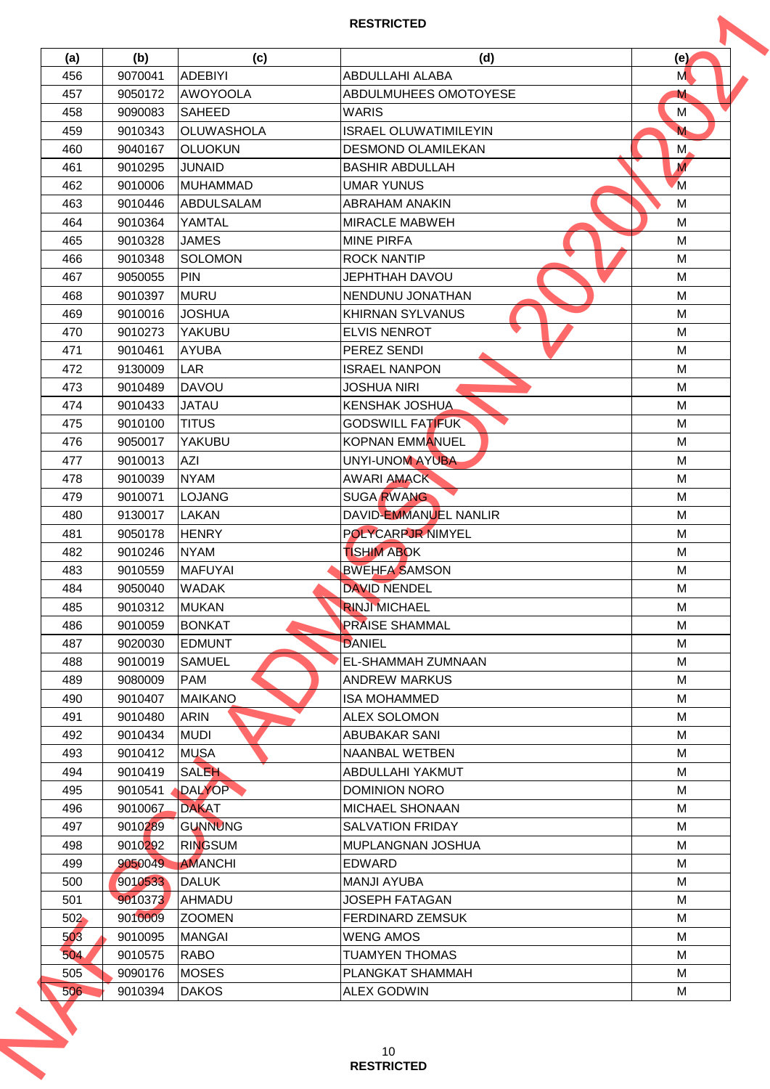| (a) | (b)     | (c)               | (d)                          | (e)            |
|-----|---------|-------------------|------------------------------|----------------|
| 456 | 9070041 | <b>ADEBIYI</b>    | ABDULLAHI ALABA              | M              |
| 457 | 9050172 | AWOYOOLA          | ABDULMUHEES OMOTOYESE        | M              |
| 458 | 9090083 | <b>SAHEED</b>     | <b>WARIS</b>                 | M              |
| 459 | 9010343 | <b>OLUWASHOLA</b> | <b>ISRAEL OLUWATIMILEYIN</b> | M              |
| 460 | 9040167 | <b>OLUOKUN</b>    | <b>DESMOND OLAMILEKAN</b>    | M,             |
| 461 | 9010295 | <b>JUNAID</b>     | <b>BASHIR ABDULLAH</b>       | $\overline{M}$ |
| 462 | 9010006 | MUHAMMAD          | <b>UMAR YUNUS</b>            | M              |
| 463 | 9010446 | <b>ABDULSALAM</b> | <b>ABRAHAM ANAKIN</b>        | M              |
| 464 | 9010364 | YAMTAL            | <b>MIRACLE MABWEH</b>        | M              |
| 465 | 9010328 | <b>JAMES</b>      | <b>MINE PIRFA</b>            | M              |
| 466 | 9010348 | <b>SOLOMON</b>    | <b>ROCK NANTIP</b>           | M              |
| 467 | 9050055 | <b>PIN</b>        | <b>JEPHTHAH DAVOU</b>        | M              |
| 468 | 9010397 | <b>MURU</b>       | NENDUNU JONATHAN             | M              |
| 469 | 9010016 | <b>JOSHUA</b>     | <b>KHIRNAN SYLVANUS</b>      | M              |
| 470 | 9010273 | YAKUBU            | <b>ELVIS NENROT</b>          | M              |
| 471 | 9010461 | <b>AYUBA</b>      | <b>PEREZ SENDI</b>           | M              |
| 472 | 9130009 | <b>LAR</b>        | <b>ISRAEL NANPON</b>         | M              |
| 473 | 9010489 | <b>DAVOU</b>      | <b>JOSHUA NIRI</b>           | M              |
| 474 | 9010433 | <b>JATAU</b>      | <b>KENSHAK JOSHUA</b>        | M              |
| 475 | 9010100 | <b>TITUS</b>      | <b>GODSWILL FATIFUK</b>      | M              |
| 476 | 9050017 | <b>YAKUBU</b>     | <b>KOPNAN EMMANUEL</b>       | M              |
|     |         |                   |                              |                |
| 477 | 9010013 | AZI               | <b>UNYI-UNOM AYUBA</b>       | M              |
| 478 | 9010039 | <b>NYAM</b>       | <b>AWARI AMACK</b>           | M              |
| 479 | 9010071 | <b>LOJANG</b>     | <b>SUGA RWANG</b>            | M              |
| 480 | 9130017 | LAKAN             | DAVID-EMMANUEL NANLIR        | М              |
| 481 | 9050178 | <b>HENRY</b>      | <b>POLYCARPJR NIMYEL</b>     | M              |
| 482 | 9010246 | <b>NYAM</b>       | <b>TISHIM ABOK</b>           | M              |
| 483 | 9010559 | <b>MAFUYAI</b>    | <b>BWEHFA SAMSON</b>         | M              |
| 484 | 9050040 | <b>WADAK</b>      | <b>DAVID NENDEL</b>          | M              |
| 485 | 9010312 | <b>MUKAN</b>      | <b>RINJI MICHAEL</b>         | M              |
| 486 | 9010059 | <b>BONKAT</b>     | <b>PRAISE SHAMMAL</b>        | M              |
| 487 | 9020030 | <b>EDMUNT</b>     | <b>DANIEL</b>                | М              |
| 488 | 9010019 | <b>SAMUEL</b>     | EL-SHAMMAH ZUMNAAN           | M              |
| 489 | 9080009 | <b>PAM</b>        | <b>ANDREW MARKUS</b>         | M              |
| 490 | 9010407 | <b>MAIKANO</b>    | <b>ISA MOHAMMED</b>          | M              |
| 491 | 9010480 | <b>ARIN</b>       | ALEX SOLOMON                 | M              |
| 492 | 9010434 | <b>MUDI</b>       | ABUBAKAR SANI                | M              |
| 493 | 9010412 | <b>MUSA</b>       | NAANBAL WETBEN               | M              |
| 494 | 9010419 | SALEH             | ABDULLAHI YAKMUT             | M              |
| 495 | 9010541 | <b>DALYOP</b>     | <b>DOMINION NORO</b>         | M              |
| 496 | 9010067 | <b>DAKAT</b>      | <b>MICHAEL SHONAAN</b>       | M              |
| 497 | 9010289 | <b>GUNNUNG</b>    | SALVATION FRIDAY             | M              |
| 498 | 9010292 | <b>RINGSUM</b>    | <b>IMUPLANGNAN JOSHUA</b>    | М              |
| 499 | 9050049 | <b>AMANCHI</b>    | <b>EDWARD</b>                | M              |
| 500 | 9010533 | <b>DALUK</b>      | <b>MANJI AYUBA</b>           | M              |
| 501 | 9010373 | <b>AHMADU</b>     | JOSEPH FATAGAN               | M              |
| 502 | 9010009 | <b>IZOOMEN</b>    | <b>FERDINARD ZEMSUK</b>      | M              |
| 503 | 9010095 | <b>MANGAI</b>     | <b>WENG AMOS</b>             | M              |
| 504 | 9010575 | <b>RABO</b>       | <b>TUAMYEN THOMAS</b>        | M              |
| 505 | 9090176 | <b>MOSES</b>      | PLANGKAT SHAMMAH             | M              |
|     | 9010394 | <b>DAKOS</b>      | <b>ALEX GODWIN</b>           | М              |
| 506 |         |                   |                              |                |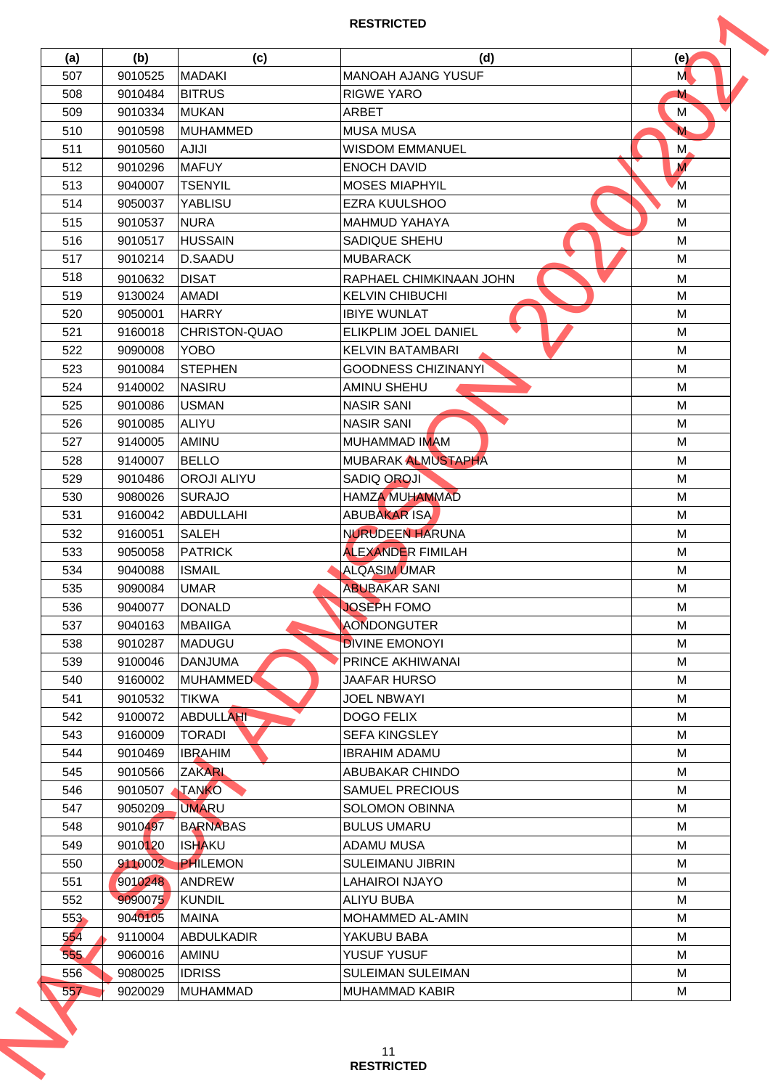| (a)        | (b)     | (c)                  | (d)                        | (e)              |
|------------|---------|----------------------|----------------------------|------------------|
| 507        | 9010525 | <b>MADAKI</b>        | <b>MANOAH AJANG YUSUF</b>  | M                |
| 508        | 9010484 | <b>BITRUS</b>        | <b>RIGWE YARO</b>          | M                |
| 509        | 9010334 | <b>MUKAN</b>         | <b>ARBET</b>               | M                |
| 510        | 9010598 | MUHAMMED             | <b>MUSA MUSA</b>           | M                |
| 511        | 9010560 | <b>IUILA</b>         | <b>WISDOM EMMANUEL</b>     | M,               |
| 512        | 9010296 | <b>MAFUY</b>         | <b>ENOCH DAVID</b>         | $\boldsymbol{M}$ |
| 513        | 9040007 | <b>TSENYIL</b>       | <b>MOSES MIAPHYIL</b>      | M                |
| 514        | 9050037 | YABLISU              | <b>EZRA KUULSHOO</b>       | M                |
| 515        | 9010537 | <b>NURA</b>          | <b>MAHMUD YAHAYA</b>       | M                |
| 516        | 9010517 | <b>HUSSAIN</b>       | SADIQUE SHEHU              | M                |
| 517        | 9010214 | <b>D.SAADU</b>       | <b>MUBARACK</b>            | M                |
| 518        | 9010632 | <b>DISAT</b>         | RAPHAEL CHIMKINAAN JOHN    | M                |
| 519        | 9130024 | <b>AMADI</b>         | <b>KELVIN CHIBUCHI</b>     | M                |
| 520        | 9050001 | <b>HARRY</b>         | <b>IBIYE WUNLAT</b>        | M                |
| 521        | 9160018 | <b>CHRISTON-QUAO</b> | ELIKPLIM JOEL DANIEL       | M                |
|            |         |                      |                            |                  |
| 522        | 9090008 | <b>YOBO</b>          | <b>KELVIN BATAMBARI</b>    | M                |
| 523        | 9010084 | <b>STEPHEN</b>       | <b>GOODNESS CHIZINANYI</b> | M                |
| 524        | 9140002 | <b>NASIRU</b>        | <b>AMINU SHEHU</b>         | M                |
| 525        | 9010086 | <b>USMAN</b>         | <b>NASIR SANI</b>          | M                |
| 526        | 9010085 | ALIYU                | <b>NASIR SANI</b>          | M                |
| 527        | 9140005 | AMINU                | <b>MUHAMMAD IMAM</b>       | M                |
| 528        | 9140007 | <b>BELLO</b>         | MUBARAK ALMUSTAPHA         | M                |
| 529        | 9010486 | <b>OROJI ALIYU</b>   | <b>SADIQ OROJI</b>         | M                |
| 530        | 9080026 | <b>SURAJO</b>        | <b>HAMZA MUHAMMAD</b>      | M                |
| 531        | 9160042 | <b>ABDULLAHI</b>     | <b>ABUBAKAR ISA</b>        | M                |
| 532        | 9160051 | <b>SALEH</b>         | <b>NURUDEEN HARUNA</b>     | M                |
| 533        | 9050058 | PATRICK              | <b>ALEXANDER FIMILAH</b>   | M                |
| 534        | 9040088 | <b>ISMAIL</b>        | <b>ALQASIM UMAR</b>        | M                |
| 535        | 9090084 | <b>UMAR</b>          | <b>ABUBAKAR SANI</b>       | M                |
| 536        | 9040077 | DONALD               | <b>JOSEPH FOMO</b>         | M                |
| 537        | 9040163 | <b>MBAIIGA</b>       | <b>AONDONGUTER</b>         | M                |
| 538        | 9010287 | <b>MADUGU</b>        | <b>DIVINE EMONOYI</b>      | M                |
| 539        | 9100046 | <b>DANJUMA</b>       | PRINCE AKHIWANAI           | M                |
| 540        | 9160002 | <b>MUHAMMED</b>      | <b>JAAFAR HURSO</b>        | M                |
| 541        | 9010532 | <b>TIKWA</b>         | <b>JOEL NBWAYI</b>         | M                |
| 542        | 9100072 | <b>ABDULLAHI</b>     | <b>DOGO FELIX</b>          | M                |
| 543        | 9160009 | <b>TORADI</b>        | <b>SEFA KINGSLEY</b>       | M                |
| 544        | 9010469 | <b>IBRAHIM</b>       | <b>IBRAHIM ADAMU</b>       | M                |
| 545        | 9010566 | <b>ZAKARL</b>        | ABUBAKAR CHINDO            | M                |
| 546        | 9010507 | <b>TANKO</b>         | <b>SAMUEL PRECIOUS</b>     | M                |
| 547        | 9050209 | <b>UMARU</b>         | <b>SOLOMON OBINNA</b>      | M                |
| 548        | 9010497 | <b>BARNABAS</b>      | <b>BULUS UMARU</b>         | M                |
| 549        | 9010120 | <b>ISHAKU</b>        | ADAMU MUSA                 | M                |
|            |         | <b>PHILEMON</b>      |                            |                  |
| 550        | 9110002 |                      | <b>SULEIMANU JIBRIN</b>    | M                |
| 551        | 9010248 | <b>ANDREW</b>        | <b>LAHAIROI NJAYO</b>      | M                |
| 552        | 9090075 | <b>KUNDIL</b>        | <b>ALIYU BUBA</b>          | M                |
| 553        | 9040105 | <b>MAINA</b>         | <b>MOHAMMED AL-AMIN</b>    | M                |
| 554        | 9110004 | ABDULKADIR           | YAKUBU BABA                | M                |
| 555        | 9060016 | AMINU                | YUSUF YUSUF                | M                |
|            | 9080025 | <b>IDRISS</b>        | <b>SULEIMAN SULEIMAN</b>   | M                |
| 556<br>557 | 9020029 | <b>MUHAMMAD</b>      | MUHAMMAD KABIR             | М                |